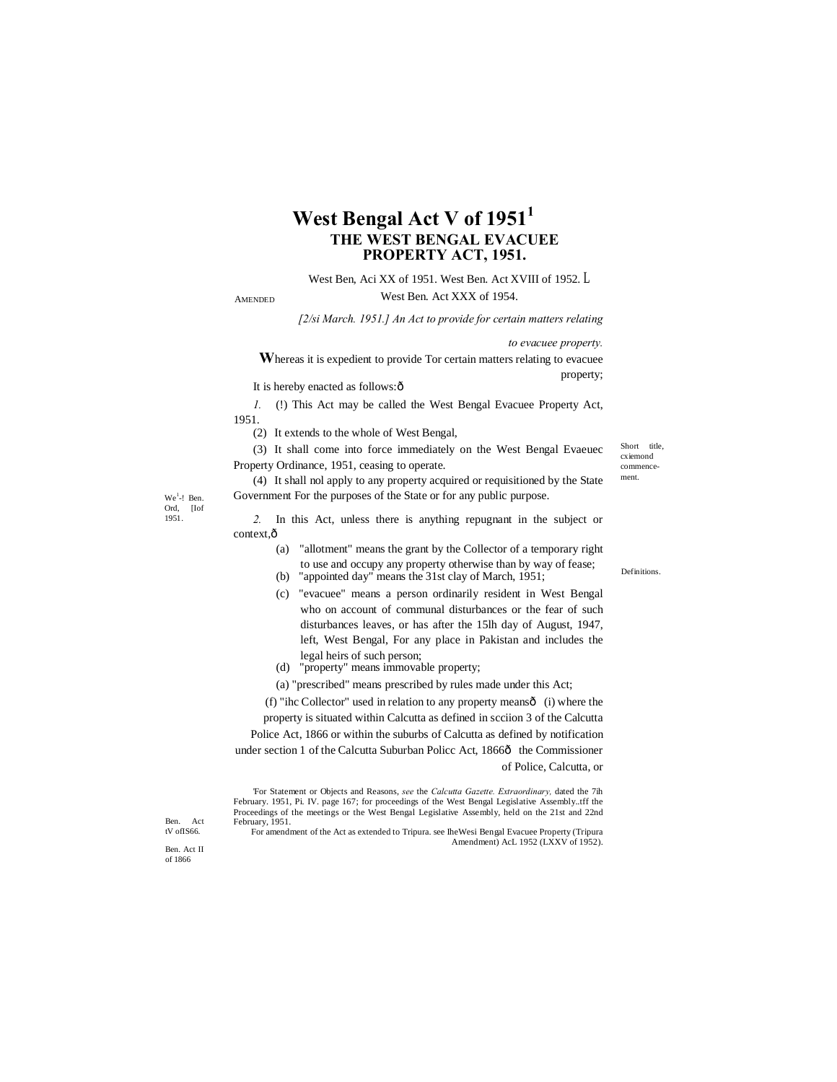# **West Bengal Act V of 1951<sup>1</sup> THE WEST BENGAL EVACUEE PROPERTY ACT, 1951.**

### West Ben, Aci XX of 1951. West Ben. Act XVIII of 1952. L

AMENDED

# West Ben. Act XXX of 1954.

*[2/si March. 1951.] An Act to provide for certain matters relating* 

*to evacuee property.*

**W**hereas it is expedient to provide Tor certain matters relating to evacuee property;

It is hereby enacted as follows: $\hat{o}$ 

*1.* (!) This Act may be called the West Bengal Evacuee Property Act, 1951.

(2) It extends to the whole of West Bengal,

(3) It shall come into force immediately on the West Bengal Evaeuec Property Ordinance, 1951, ceasing to operate.

(4) It shall nol apply to any property acquired or requisitioned by the State Government For the purposes of the State or for any public purpose.

 $We<sup>1</sup>$ -! Ben. Ord, [Iof 1951.

*2.* In this Act, unless there is anything repugnant in the subject or context, $\hat{o}$ 

- (a) "allotment" means the grant by the Collector of a temporary right to use and occupy any property otherwise than by way of fease;
- (b) "appointed day" means the 31st clay of March, 1951;
- (c) "evacuee" means a person ordinarily resident in West Bengal who on account of communal disturbances or the fear of such disturbances leaves, or has after the 15lh day of August, 1947, left, West Bengal, For any place in Pakistan and includes the legal heirs of such person;
- (d) "property" means immovable property;
- (a) "prescribed" means prescribed by rules made under this Act;

(f) "ihc Collector" used in relation to any property means— (i) where the property is situated within Calcutta as defined in scciion 3 of the Calcutta Police Act, 1866 or within the suburbs of Calcutta as defined by notification under section 1 of the Calcutta Suburban Policc Act, 1866ô the Commissioner of Police, Calcutta, or

'For Statement or Objects and Reasons, *see* the *Calcutta Gazette. Extraordinary,* dated the 7ih February. 1951, Pi. IV. page 167; for proceedings of the West Bengal Legislative Assembly..tff the Proceedings of the meetings or the West Bengal Legislative Assembly, held on the 21st and 22nd February, 1951.

For amendment of the Act as extended to Tripura. see IheWesi Bengal Evacuee Property (Tripura Amendment) AcL 1952 (LXXV of 1952).

Short title. cxiemond commencement.

Definitions.

Ben. Act

tV ofIS66. Ben. Act II of 1866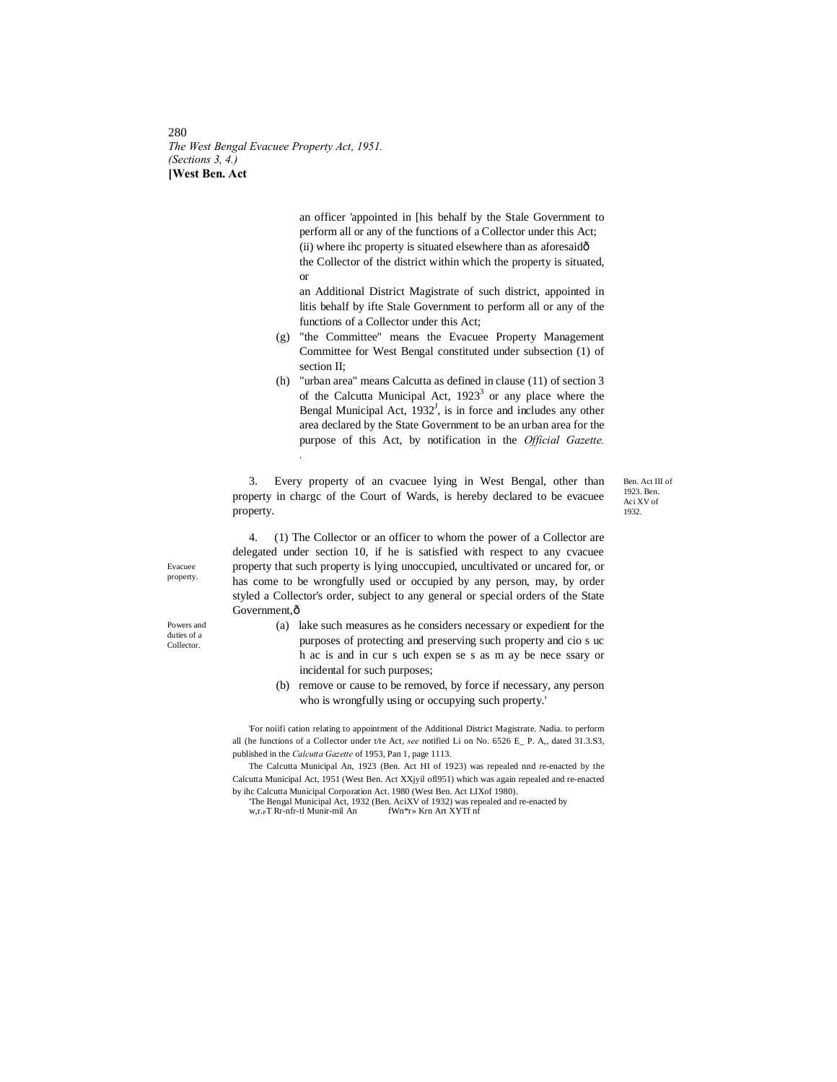280 *The West Bengal Evacuee Property Act, 1951. (Sections 3, 4.)* **[West Ben. Act**

> an officer 'appointed in [his behalf by the Stale Government to perform all or any of the functions of a Collector under this Act; (ii) where ihc property is situated elsewhere than as aforesaidô the Collector of the district within which the property is situated, or

> an Additional District Magistrate of such district, appointed in litis behalf by ifte Stale Government to perform all or any of the functions of a Collector under this Act;

- (g) "the Committee" means the Evacuee Property Management Committee for West Bengal constituted under subsection (1) of section II;
- (h) "urban area" means Calcutta as defined in clause (11) of section 3 of the Calcutta Municipal Act,  $1923<sup>3</sup>$  or any place where the Bengal Municipal Act,  $1932<sup>J</sup>$ , is in force and includes any other area declared by the State Government to be an urban area for the purpose of this Act, by notification in the *Official Gazette. .*

3. Every property of an cvacuee lying in West Bengal, other than property in chargc of the Court of Wards, is hereby declared to be evacuee property.

Ben. Act III of 1923. Ben. Aci XV of 1932.

4. (1) The Collector or an officer to whom the power of a Collector are delegated under section 10, if he is satisfied with respect to any cvacuee property that such property is lying unoccupied, uncultivated or uncared for, or has come to be wrongfully used or occupied by any person, may, by order styled a Collector's order, subject to any general or special orders of the State Government, ô

- (a) lake such measures as he considers necessary or expedient for the purposes of protecting and preserving such property and cio s uc h ac is and in cur s uch expen se s as m ay be nece ssary or incidental for such purposes;
- (b) remove or cause to be removed, by force if necessary, any person who is wrongfully using or occupying such property.'

'For noiifi cation relating to appointment of the Additional District Magistrate. Nadia. to perform all (he functions of a Collector under t/te Act, *see* notified Li on No. 6526 E\_ P. A,, dated 31.3.S3, published in the *Calcutta Gazette* of 1953, Pan 1, page 1113.

The Calcutta Municipal An, 1923 (Ben. Act HI of 1923) was repealed nnd re-enacted by the Calcutta Municipal Act, 1951 (West Ben. Act XXjyil ofl951) which was again repealed and re-enacted by ihc Calcutta Municipal Corporation Act. 1980 (West Ben. Act LIXof 1980). 'The Bengal Municipal Act, 1932 (Ben. AciXV of 1932) was repealed and re-enacted by

w,r.<sub>P</sub>T Rr-nfr-tl Munir-mil An fWn<sup>\*</sup>r» Krn Art XYTf nf

Evacuee property.

Powers and duties of a Collector.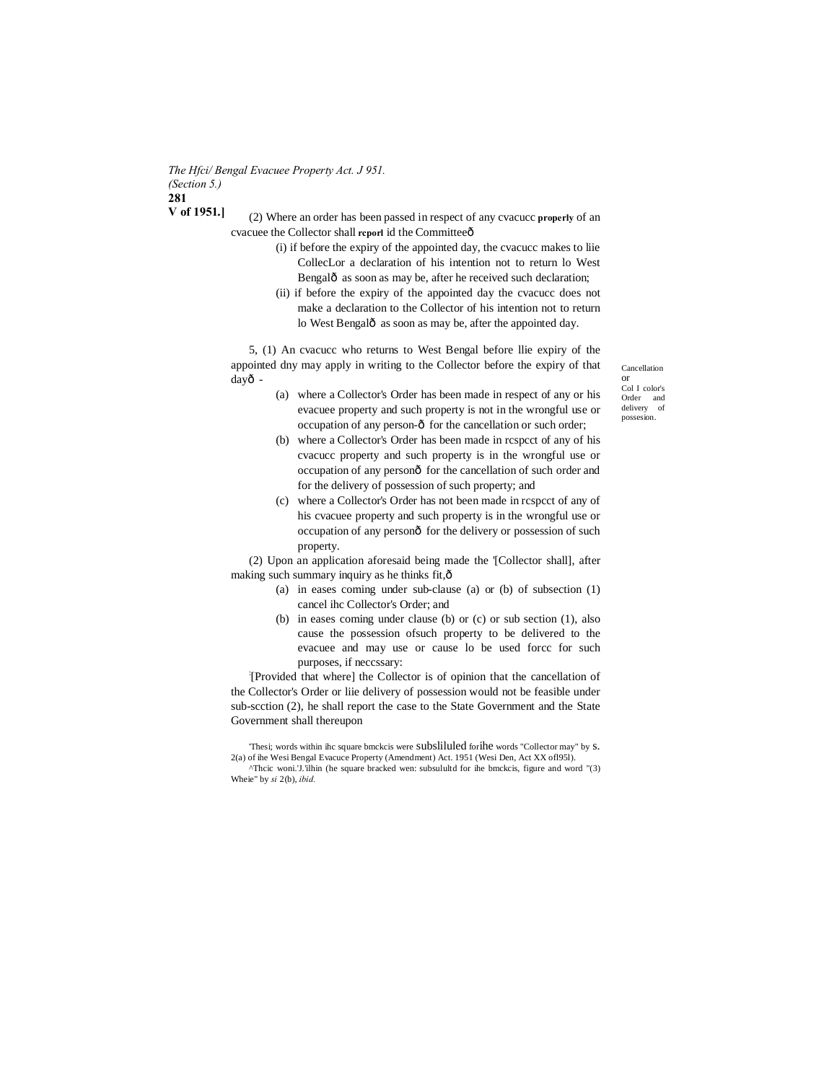*The Hfci/ Bengal Evacuee Property Act. J 951. (Section 5.)* **281 V of 1951.]**

(2) Where an order has been passed in respect of any cvacucc **properly** of an cvacuee the Collector shall report id the Committeeô

- (i) if before the expiry of the appointed day, the cvacucc makes to liie CollecLor a declaration of his intention not to return lo West Bengalô as soon as may be, after he received such declaration;
- (ii) if before the expiry of the appointed day the cvacucc does not make a declaration to the Collector of his intention not to return lo West Bengalô as soon as may be, after the appointed day.

5, (1) An cvacucc who returns to West Bengal before llie expiry of the appointed dny may apply in writing to the Collector before the expiry of that dayô -

Cancellation or Col I color's Order and delivery of possesion.

- (a) where a Collector's Order has been made in respect of any or his evacuee property and such property is not in the wrongful use or occupation of any person- $\hat{o}$  for the cancellation or such order;
- (b) where a Collector's Order has been made in rcspcct of any of his cvacucc property and such property is in the wrongful use or occupation of any personô for the cancellation of such order and for the delivery of possession of such property; and
- (c) where a Collector's Order has not been made in rcspcct of any of his cvacuee property and such property is in the wrongful use or occupation of any personô for the delivery or possession of such property.

(2) Upon an application aforesaid being made the '[Collector shall], after making such summary inquiry as he thinks fit,—

- (a) in eases coming under sub-clause (a) or (b) of subsection (1) cancel ihc Collector's Order; and
- (b) in eases coming under clause (b) or (c) or sub section (1), also cause the possession ofsuch property to be delivered to the evacuee and may use or cause lo be used forcc for such purposes, if neccssary:

: [Provided that where] the Collector is of opinion that the cancellation of the Collector's Order or liie delivery of possession would not be feasible under sub-scction (2), he shall report the case to the State Government and the State Government shall thereupon

<sup>&#</sup>x27;Thesi; words within ihc square bmckcis were subsliluled forihe words "Collector may" by s. 2(a) of ihe Wesi Bengal Evacuce Property (Amendment) Act. 1951 (Wesi Den, Act XX ofl95l).

<sup>^</sup>Thcic woni.'J.'ilhin (he square bracked wen: subsulultd for ihe bmckcis, figure and word "(3) Wheie" by *si* 2(b), *ibid.*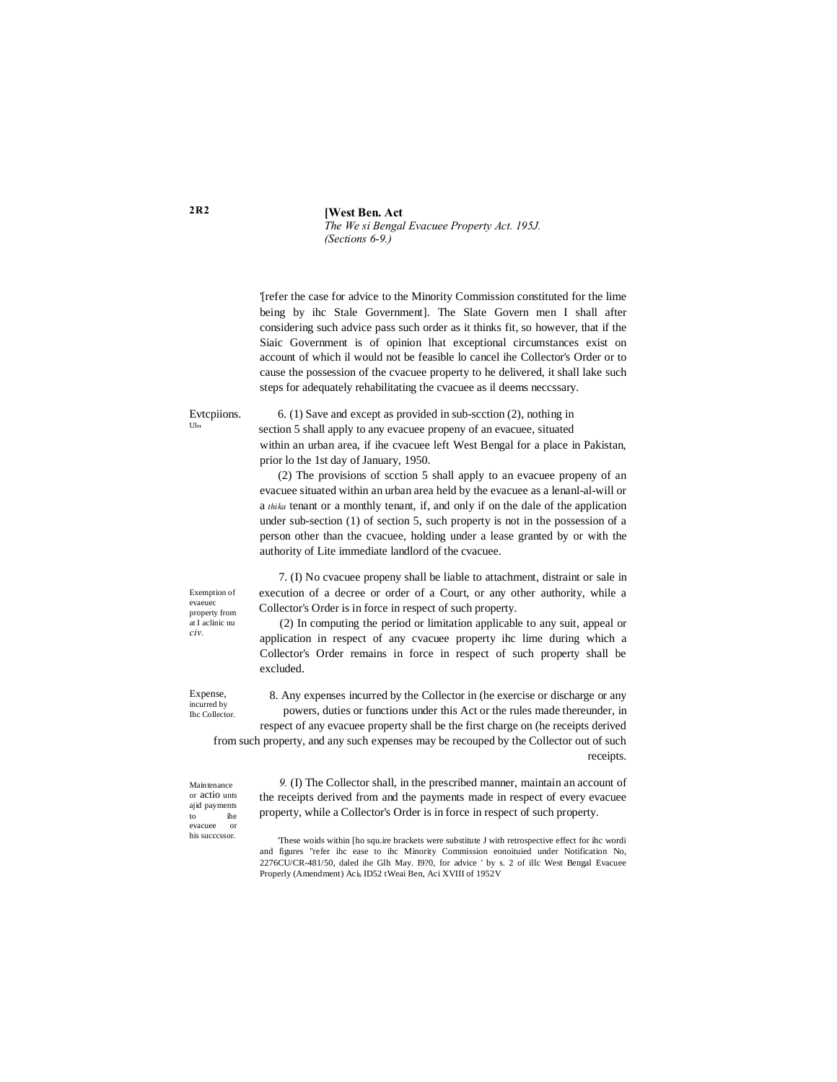**[West Ben. Act** *The We si Bengal Evacuee Property Act. 195J. (Sections 6-9.)*

'[refer the case for advice to the Minority Commission constituted for the lime being by ihc Stale Government]. The Slate Govern men I shall after considering such advice pass such order as it thinks fit, so however, that if the Siaic Government is of opinion lhat exceptional circumstances exist on account of which il would not be feasible lo cancel ihe Collector's Order or to cause the possession of the cvacuee property to he delivered, it shall lake such steps for adequately rehabilitating the cvacuee as il deems neccssary.

Evtcpiions. 6. (1) Save and except as provided in sub-section (2), nothing in  $U_{\text{lin}}$ section 5 shall apply to any evacuee propeny of an evacuee, situated within an urban area, if ihe cvacuee left West Bengal for a place in Pakistan, prior lo the 1st day of January, 1950.

> (2) The provisions of scction 5 shall apply to an evacuee propeny of an evacuee situated within an urban area held by the evacuee as a lenanl-al-will or a *thika* tenant or a monthly tenant, if, and only if on the dale of the application under sub-section (1) of section 5, such property is not in the possession of a person other than the cvacuee, holding under a lease granted by or with the authority of Lite immediate landlord of the cvacuee.

> 7. (I) No cvacuee propeny shall be liable to attachment, distraint or sale in execution of a decree or order of a Court, or any other authority, while a Collector's Order is in force in respect of such property.

> (2) In computing the period or limitation applicable to any suit, appeal or application in respect of any cvacuee property ihc lime during which a Collector's Order remains in force in respect of such property shall be excluded.

Expense, incurred by Ihc Collector.

Maintenance or actio unts ajid payments to ihe evacuee or his succcssor.

8. Any expenses incurred by the Collector in (he exercise or discharge or any powers, duties or functions under this Act or the rules made thereunder, in respect of any evacuee property shall be the first charge on (he receipts derived

from such property, and any such expenses may be recouped by the Collector out of such receipts.

> *9.* (I) The Collector shall, in the prescribed manner, maintain an account of the receipts derived from and the payments made in respect of every evacuee property, while a Collector's Order is in force in respect of such property.

> 'These woids within [ho squ.ire brackets were substitute J with retrospective effect for ihc wordi and figures "refer ihc ease to ihc Minority Commission eonoituied under Notification No, 2276CU/CR-481/50, daled ihe Glh May. I9?0, for advice ' by s. 2 of illc West Bengal Evacuee Properly (Amendment) Aci<sub>h</sub> ID52 tWeai Ben, Aci XVIII of 1952V

at I aclinic nu *civ.*

Exemption of evaeuec property from

**2R2**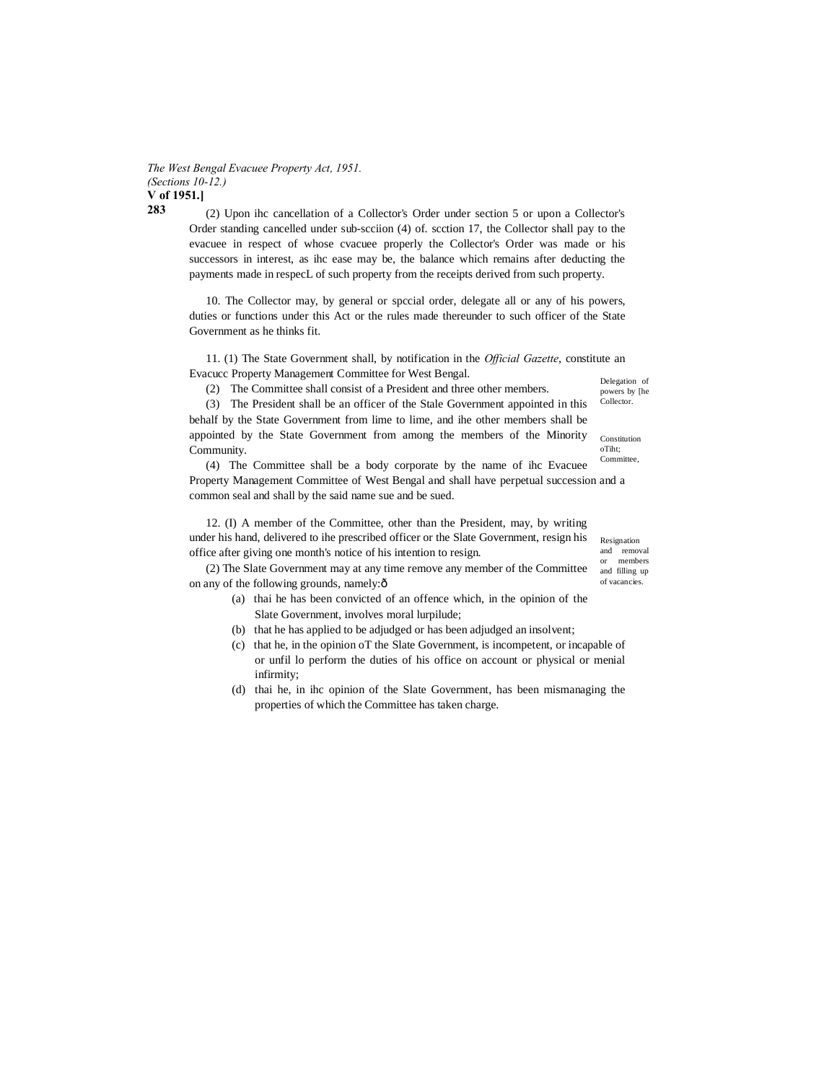*The West Bengal Evacuee Property Act, 1951. (Sections 10-12.)* **V of 1951.]**

**283**

(2) Upon ihc cancellation of a Collector's Order under section 5 or upon a Collector's Order standing cancelled under sub-scciion (4) of. scction 17, the Collector shall pay to the evacuee in respect of whose cvacuee properly the Collector's Order was made or his successors in interest, as ihc ease may be, the balance which remains after deducting the payments made in respecL of such property from the receipts derived from such property.

10. The Collector may, by general or spccial order, delegate all or any of his powers, duties or functions under this Act or the rules made thereunder to such officer of the State Government as he thinks fit.

11. (1) The State Government shall, by notification in the *Official Gazette*, constitute an Evacucc Property Management Committee for West Bengal.

(2) The Committee shall consist of a President and three other members.

Delegation of powers by [he Collector.

(3) The President shall be an officer of the Stale Government appointed in this behalf by the State Government from lime to lime, and ihe other members shall be appointed by the State Government from among the members of the Minority Community.

(4) The Committee shall be a body corporate by the name of ihc Evacuee Property Management Committee of West Bengal and shall have perpetual succession and a common seal and shall by the said name sue and be sued.

12. (I) A member of the Committee, other than the President, may, by writing under his hand, delivered to ihe prescribed officer or the Slate Government, resign his office after giving one month's notice of his intention to resign.

Resignation and removal or members and filling up of vacancies.

(2) The Slate Government may at any time remove any member of the Committee on any of the following grounds, namely: $\hat{o}$ 

- (a) thai he has been convicted of an offence which, in the opinion of the Slate Government, involves moral lurpilude;
- (b) that he has applied to be adjudged or has been adjudged an insolvent;
- (c) that he, in the opinion oT the Slate Government, is incompetent, or incapable of or unfil lo perform the duties of his office on account or physical or menial infirmity;
- (d) thai he, in ihc opinion of the Slate Government, has been mismanaging the properties of which the Committee has taken charge.

Committee

Constitution oTiht;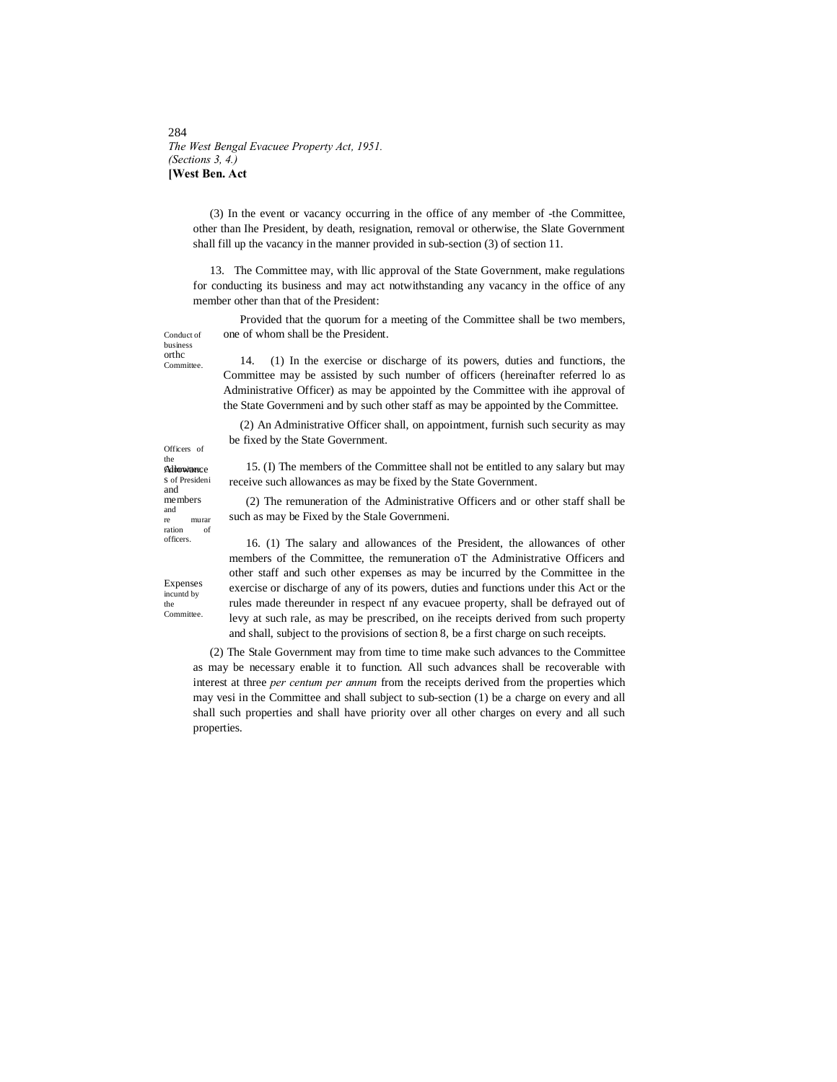## 284 *The West Bengal Evacuee Property Act, 1951. (Sections 3, 4.)* **[West Ben. Act**

(3) In the event or vacancy occurring in the office of any member of -the Committee, other than Ihe President, by death, resignation, removal or otherwise, the Slate Government shall fill up the vacancy in the manner provided in sub-section (3) of section 11.

13. The Committee may, with llic approval of the State Government, make regulations for conducting its business and may act notwithstanding any vacancy in the office of any member other than that of the President:

Provided that the quorum for a meeting of the Committee shall be two members, one of whom shall be the President.

14. (1) In the exercise or discharge of its powers, duties and functions, the Committee may be assisted by such number of officers (hereinafter referred lo as Administrative Officer) as may be appointed by the Committee with ihe approval of the State Governmeni and by such other staff as may be appointed by the Committee.

(2) An Administrative Officer shall, on appointment, furnish such security as may be fixed by the State Government.

15. (I) The members of the Committee shall not be entitled to any salary but may receive such allowances as may be fixed by the State Government.

(2) The remuneration of the Administrative Officers and or other staff shall be such as may be Fixed by the Stale Governmeni.

Expenses incuntd by the Committee.

Allowance Committee. s of Presideni and members and

Officers of the

Conduct of business orthc Committee.

murar ration of officers.

16. (1) The salary and allowances of the President, the allowances of other members of the Committee, the remuneration oT the Administrative Officers and other staff and such other expenses as may be incurred by the Committee in the exercise or discharge of any of its powers, duties and functions under this Act or the rules made thereunder in respect nf any evacuee property, shall be defrayed out of levy at such rale, as may be prescribed, on ihe receipts derived from such property and shall, subject to the provisions of section 8, be a first charge on such receipts.

(2) The Stale Government may from time to time make such advances to the Committee as may be necessary enable it to function. All such advances shall be recoverable with interest at three *per centum per annum* from the receipts derived from the properties which may vesi in the Committee and shall subject to sub-section (1) be a charge on every and all shall such properties and shall have priority over all other charges on every and all such properties.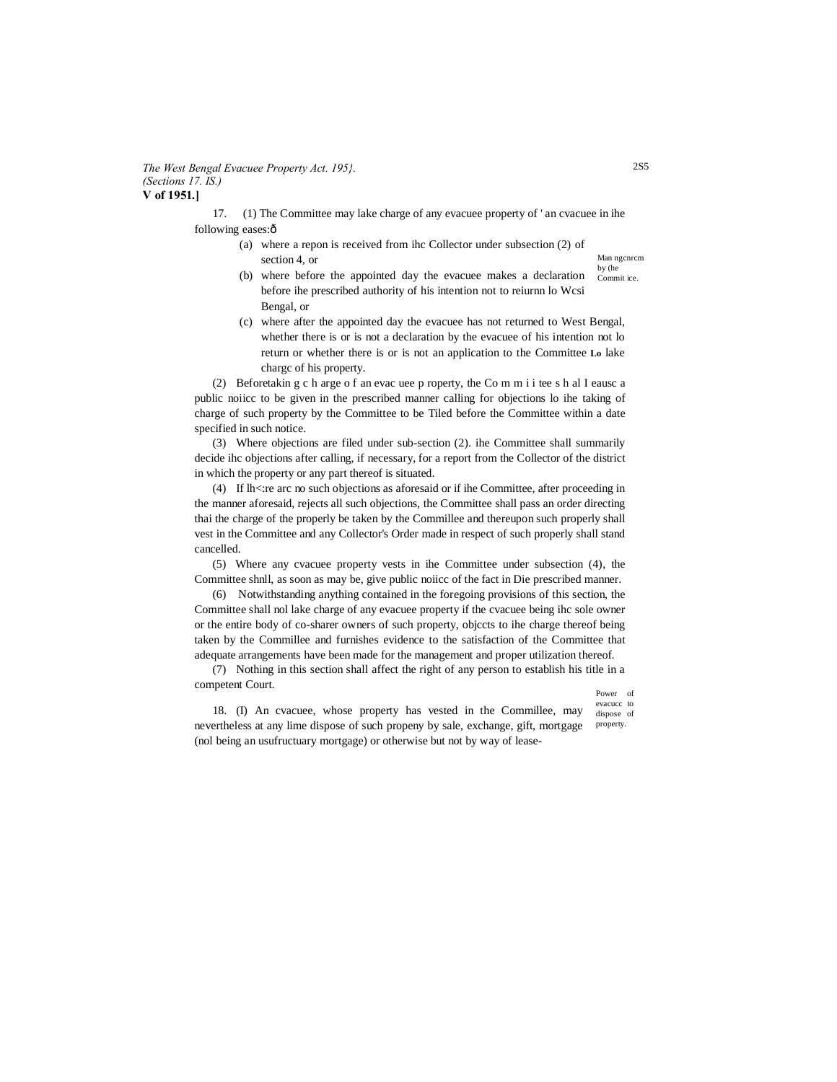#### *The West Bengal Evacuee Property Act. 195}. (Sections 17. IS.)* **V of 1951.]**

17. (1) The Committee may lake charge of any evacuee property of ' an cvacuee in ihe following eases: $\hat{o}$ 

- (a) where a repon is received from ihc Collector under subsection (2) of section 4, or
	- by (he Commit ice. (b) where before the appointed day the evacuee makes a declaration before ihe prescribed authority of his intention not to reiurnn lo Wcsi Bengal, or
- (c) where after the appointed day the evacuee has not returned to West Bengal, whether there is or is not a declaration by the evacuee of his intention not lo return or whether there is or is not an application to the Committee **Lo** lake chargc of his property.

(2) Beforetakin g c h arge o f an evac uee p roperty, the Co m m i i tee s h al I eausc a public noiicc to be given in the prescribed manner calling for objections lo ihe taking of charge of such property by the Committee to be Tiled before the Committee within a date specified in such notice.

(3) Where objections are filed under sub-section (2). ihe Committee shall summarily decide ihc objections after calling, if necessary, for a report from the Collector of the district in which the property or any part thereof is situated.

(4) If lh<:re arc no such objections as aforesaid or if ihe Committee, after proceeding in the manner aforesaid, rejects all such objections, the Committee shall pass an order directing thai the charge of the properly be taken by the Commillee and thereupon such properly shall vest in the Committee and any Collector's Order made in respect of such properly shall stand cancelled.

(5) Where any cvacuee property vests in ihe Committee under subsection (4), the Committee shnll, as soon as may be, give public noiicc of the fact in Die prescribed manner.

(6) Notwithstanding anything contained in the foregoing provisions of this section, the Committee shall nol lake charge of any evacuee property if the cvacuee being ihc sole owner or the entire body of co-sharer owners of such property, objccts to ihe charge thereof being taken by the Commillee and furnishes evidence to the satisfaction of the Committee that adequate arrangements have been made for the management and proper utilization thereof.

(7) Nothing in this section shall affect the right of any person to establish his title in a competent Court.

Power of evacucc to dispose of

property. 18. (I) An cvacuee, whose property has vested in the Commillee, may nevertheless at any lime dispose of such propeny by sale, exchange, gift, mortgage (nol being an usufructuary mortgage) or otherwise but not by way of lease-

Man ngcnrcm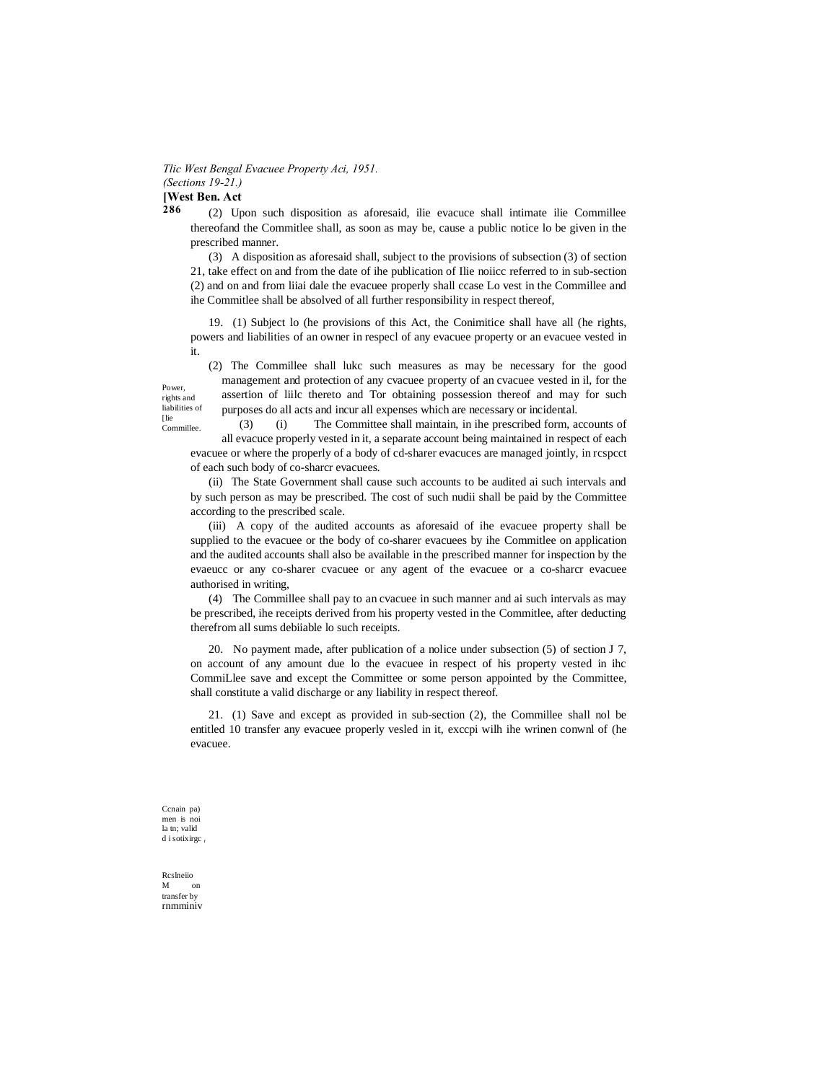Tlic West Bengal Evacuee Property Aci, 1951. (Sections 19-21.)

[West Ben. Act 286

(2) Upon such disposition as aforesaid, ille evacuce shall intimate ille Commillee thereofand the Committee shall, as soon as may be, cause a public notice lo be given in the prescribed manner.

(3) A disposition as aforesaid shall, subject to the provisions of subsection (3) of section 21, take effect on and from the date of ihe publication of Ilie noiicc referred to in sub-section (2) and on and from liiai dale the evacuee properly shall ccase Lo vest in the Commillee and ihe Committee shall be absolved of all further responsibility in respect thereof,

19. (1) Subject lo (he provisions of this Act, the Conimitice shall have all (he rights, powers and liabilities of an owner in respecl of any evacuee property or an evacuee vested in it.

Power. rights and liabilities of [lie Lie<br>Commillee

(2) The Commillee shall luke such measures as may be necessary for the good management and protection of any cvacuee property of an cvacuee vested in il, for the assertion of liilc thereto and Tor obtaining possession thereof and may for such purposes do all acts and incur all expenses which are necessary or incidental.

 $(3)$  $(i)$ The Committee shall maintain, in ihe prescribed form, accounts of all evacuce properly vested in it, a separate account being maintained in respect of each evacue or where the properly of a body of cd-sharer evacuces are managed jointly, in respect of each such body of co-sharcr evacuees.

(ii) The State Government shall cause such accounts to be audited ai such intervals and by such person as may be prescribed. The cost of such nudii shall be paid by the Committee according to the prescribed scale.

(iii) A copy of the audited accounts as aforesaid of ihe evacuee property shall be supplied to the evacuee or the body of co-sharer evacuees by ihe Commitlee on application and the audited accounts shall also be available in the prescribed manner for inspection by the evaeucc or any co-sharer cvacuee or any agent of the evacuee or a co-sharcr evacuee authorised in writing,

(4) The Commillee shall pay to an cyacuee in such manner and a such intervals as may be prescribed, ihe receipts derived from his property vested in the Committee, after deducting therefrom all sums debiiable lo such receipts.

20. No payment made, after publication of a nolice under subsection (5) of section J 7, on account of any amount due lo the evacue in respect of his property vested in ihc CommiLlee save and except the Committee or some person appointed by the Committee, shall constitute a valid discharge or any liability in respect thereof.

21. (1) Save and except as provided in sub-section (2), the Commillee shall nol be entitled 10 transfer any evacuee properly vesled in it, exccpi wilh ihe wrinen conwnl of (he evacuee.

Cenain pa) men is not la tn; valid d i sotixirge.

Rcsheiio M  $\alpha$ transfer by rnmminiv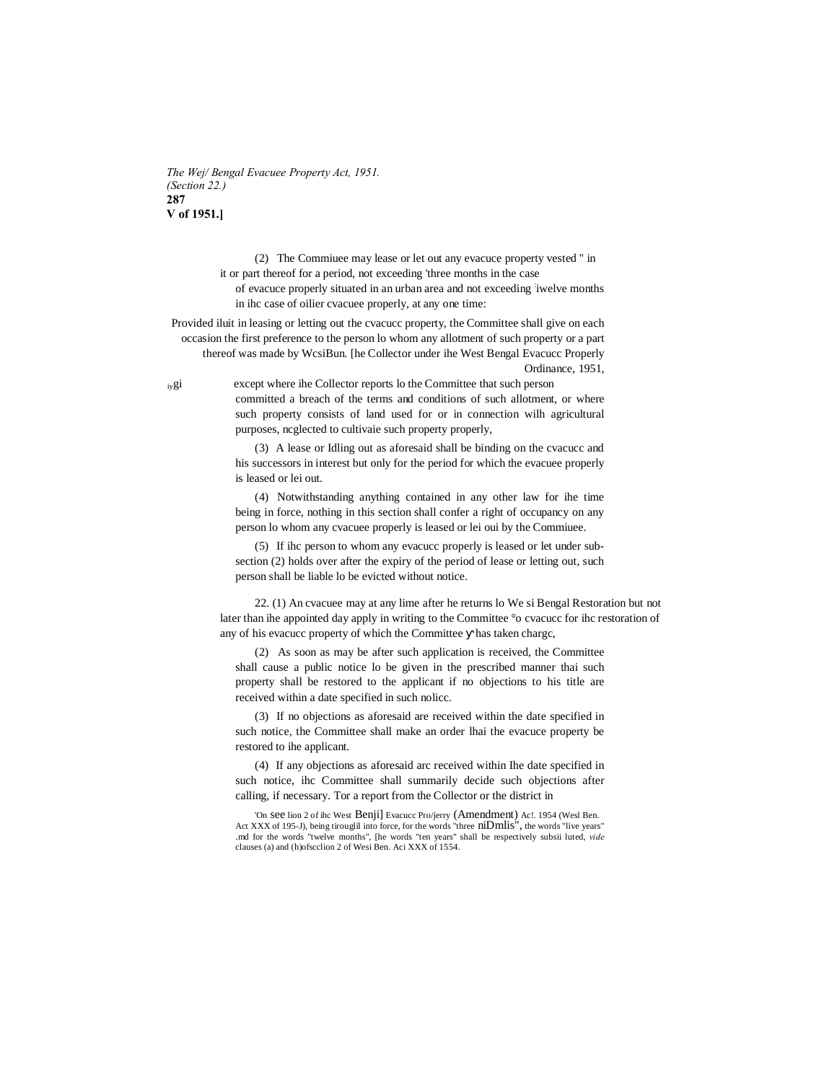*The Wej/ Bengal Evacuee Property Act, 1951. (Section 22.)* **287 V of 1951.]**

> (2) The Commiuee may lease or let out any evacuce property vested " in it or part thereof for a period, not exceeding 'three months in the case

of evacuce properly situated in an urban area and not exceeding iwelve months in ihc case of oilier cvacuee properly, at any one time:

Provided iluit in leasing or letting out the cvacucc property, the Committee shall give on each occasion the first preference to the person lo whom any allotment of such property or a part thereof was made by WcsiBun. [he Collector under ihe West Bengal Evacucc Properly Ordinance, 1951,

iygi except where ihe Collector reports lo the Committee that such person committed a breach of the terms and conditions of such allotment, or where such property consists of land used for or in connection wilh agricultural purposes, ncglected to cultivaie such property properly,

> (3) A lease or Idling out as aforesaid shall be binding on the cvacucc and his successors in interest but only for the period for which the evacuee properly is leased or lei out.

> (4) Notwithstanding anything contained in any other law for ihe time being in force, nothing in this section shall confer a right of occupancy on any person lo whom any cvacuee properly is leased or lei oui by the Commiuee.

> (5) If ihc person to whom any evacucc properly is leased or let under subsection (2) holds over after the expiry of the period of lease or letting out, such person shall be liable lo be evicted without notice.

22. (1) An cvacuee may at any lime after he returns lo We si Bengal Restoration but not later than ihe appointed day apply in writing to the Committee °o cvacucc for ihc restoration of any of his evacucc property of which the Committee has taken chargc,

(2) As soon as may be after such application is received, the Committee shall cause a public notice lo be given in the prescribed manner thai such property shall be restored to the applicant if no objections to his title are received within a date specified in such nolicc.

(3) If no objections as aforesaid are received within the date specified in such notice, the Committee shall make an order lhai the evacuce property be restored to ihe applicant.

(4) If any objections as aforesaid arc received within Ihe date specified in such notice, ihc Committee shall summarily decide such objections after calling, if necessary. Tor a report from the Collector or the district in

'On see lion 2 of ihc West Benji] Evacucc Pro/jerry (Amendment) Ac!. 1954 (Wesl Ben. Act XXX of 195-J), being tirouglil into force, for the words "three niDmlis", the words "live years" .md for the words "twelve months", [he words "ten years" shall be respectively subsii luted, *vide* clauses (a) and (h)ofscclion 2 of Wesi Ben. Aci XXX of 1554.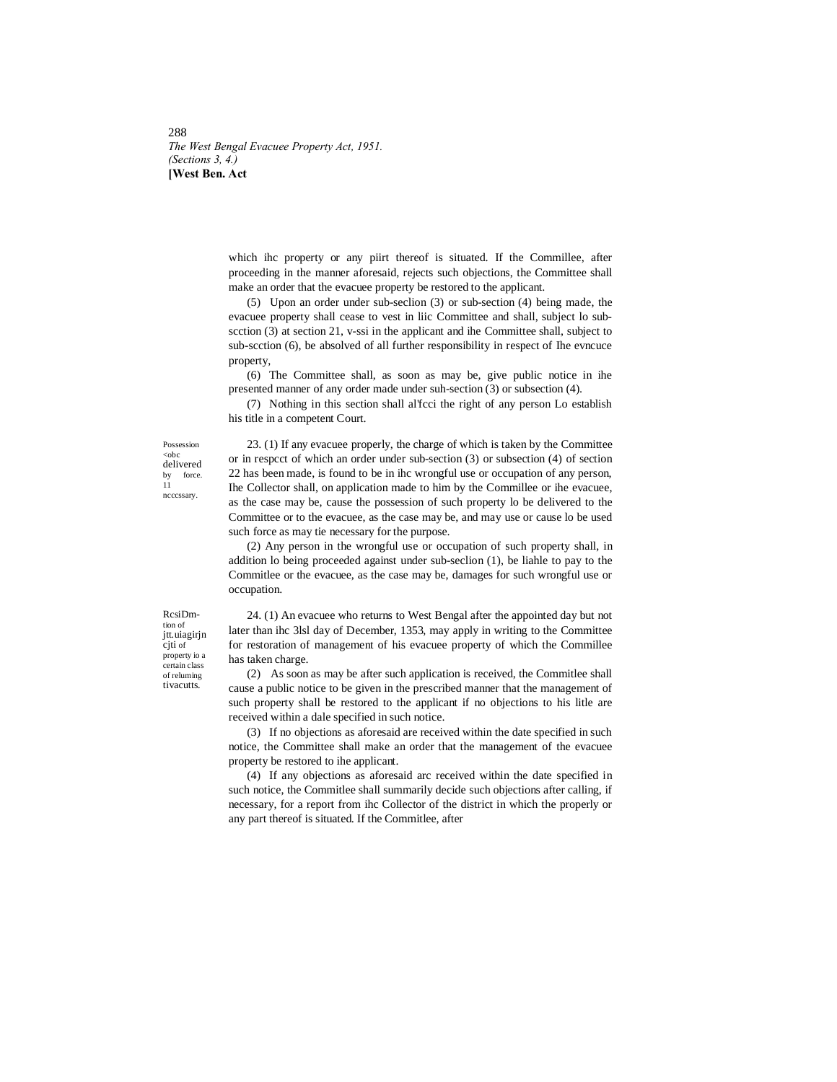288 *The West Bengal Evacuee Property Act, 1951. (Sections 3, 4.)* **[West Ben. Act**

> which ihc property or any piirt thereof is situated. If the Commillee, after proceeding in the manner aforesaid, rejects such objections, the Committee shall make an order that the evacuee property be restored to the applicant.

> (5) Upon an order under sub-seclion (3) or sub-section (4) being made, the evacuee property shall cease to vest in liic Committee and shall, subject lo subscction (3) at section 21, v-ssi in the applicant and ihe Committee shall, subject to sub-scction (6), be absolved of all further responsibility in respect of Ihe evncuce property,

> (6) The Committee shall, as soon as may be, give public notice in ihe presented manner of any order made under suh-section (3) or subsection (4).

> (7) Nothing in this section shall al'fcci the right of any person Lo establish his title in a competent Court.

Possession <obc delivered force  $\frac{by}{11}$ ncccssary.

23. (1) If any evacuee properly, the charge of which is taken by the Committee or in respcct of which an order under sub-section (3) or subsection (4) of section 22 has been made, is found to be in ihc wrongful use or occupation of any person, Ihe Collector shall, on application made to him by the Commillee or ihe evacuee, as the case may be, cause the possession of such property lo be delivered to the Committee or to the evacuee, as the case may be, and may use or cause lo be used such force as may tie necessary for the purpose.

(2) Any person in the wrongful use or occupation of such property shall, in addition lo being proceeded against under sub-seclion (1), be liahle to pay to the Commitlee or the evacuee, as the case may be, damages for such wrongful use or occupation.

RcsiDm tion of jtt.uiagirjn cjti of property io a certain class of reluming tivacutts.

24. (1) An evacuee who returns to West Bengal after the appointed day but not later than ihc 3lsl day of December, 1353, may apply in writing to the Committee for restoration of management of his evacuee property of which the Commillee has taken charge.

(2) As soon as may be after such application is received, the Commitlee shall cause a public notice to be given in the prescribed manner that the management of such property shall be restored to the applicant if no objections to his litle are received within a dale specified in such notice.

(3) If no objections as aforesaid are received within the date specified in such notice, the Committee shall make an order that the management of the evacuee property be restored to ihe applicant.

(4) If any objections as aforesaid arc received within the date specified in such notice, the Commitlee shall summarily decide such objections after calling, if necessary, for a report from ihc Collector of the district in which the properly or any part thereof is situated. If the Commitlee, after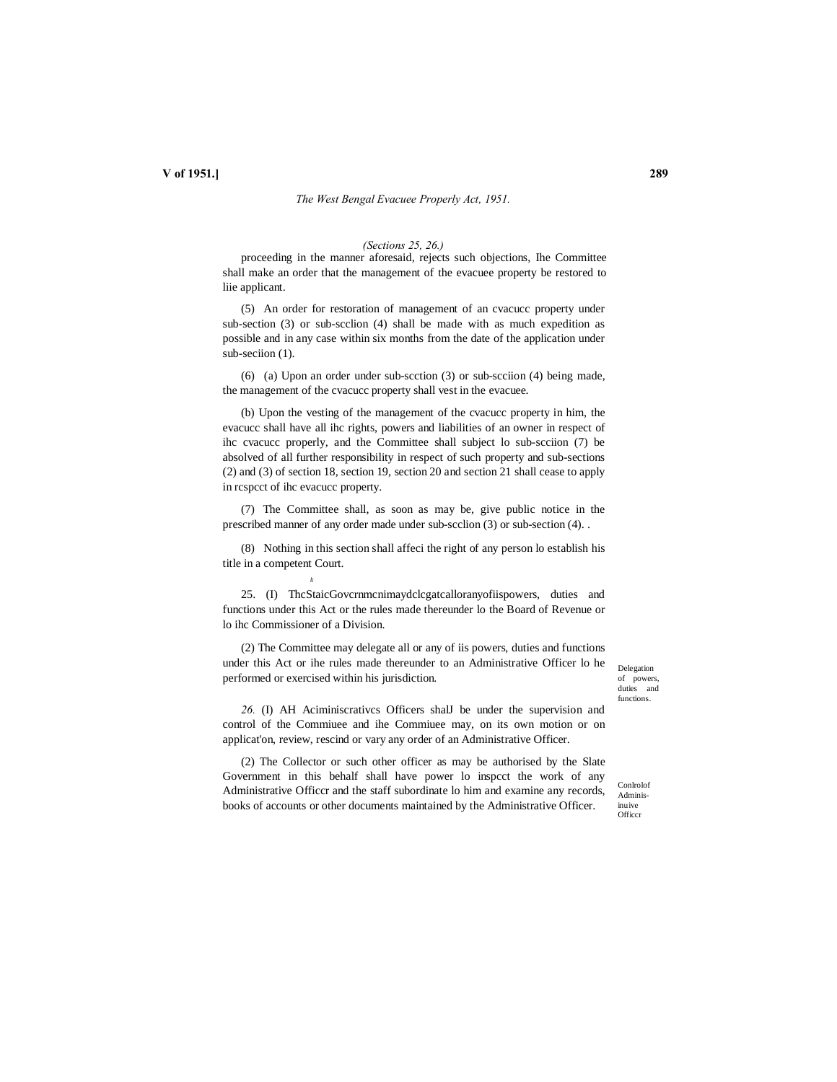#### *The West Bengal Evacuee Properly Act, 1951.*

#### *(Sections 25, 26.)*

proceeding in the manner aforesaid, rejects such objections, Ihe Committee shall make an order that the management of the evacuee property be restored to liie applicant.

(5) An order for restoration of management of an cvacucc property under sub-section (3) or sub-scclion (4) shall be made with as much expedition as possible and in any case within six months from the date of the application under sub-seciion (1).

(6) (a) Upon an order under sub-scction (3) or sub-scciion (4) being made, the management of the cvacucc property shall vest in the evacuee.

(b) Upon the vesting of the management of the cvacucc property in him, the evacucc shall have all ihc rights, powers and liabilities of an owner in respect of ihc cvacucc properly, and the Committee shall subject lo sub-scciion (7) be absolved of all further responsibility in respect of such property and sub-sections (2) and (3) of section 18, section 19, section 20 and section 21 shall cease to apply in rcspcct of ihc evacucc property.

(7) The Committee shall, as soon as may be, give public notice in the prescribed manner of any order made under sub-scclion (3) or sub-section (4). .

(8) Nothing in this section shall affeci the right of any person lo establish his title in a competent Court.

•T

25. (I) ThcStaicGovcrnmcnimaydclcgatcalloranyofiispowers, duties and functions under this Act or the rules made thereunder lo the Board of Revenue or lo ihc Commissioner of a Division.

(2) The Committee may delegate all or any of iis powers, duties and functions under this Act or ihe rules made thereunder to an Administrative Officer lo he performed or exercised within his jurisdiction.

Delegation of powers, duties and functions.

*26.* (I) AH Aciminiscrativcs Officers shalJ be under the supervision and control of the Commiuee and ihe Commiuee may, on its own motion or on applicat'on, review, rescind or vary any order of an Administrative Officer.

(2) The Collector or such other officer as may be authorised by the Slate Government in this behalf shall have power lo inspcct the work of any Administrative Officcr and the staff subordinate lo him and examine any records, books of accounts or other documents maintained by the Administrative Officer.

Conlrolof Adminis-

inuive **Officer**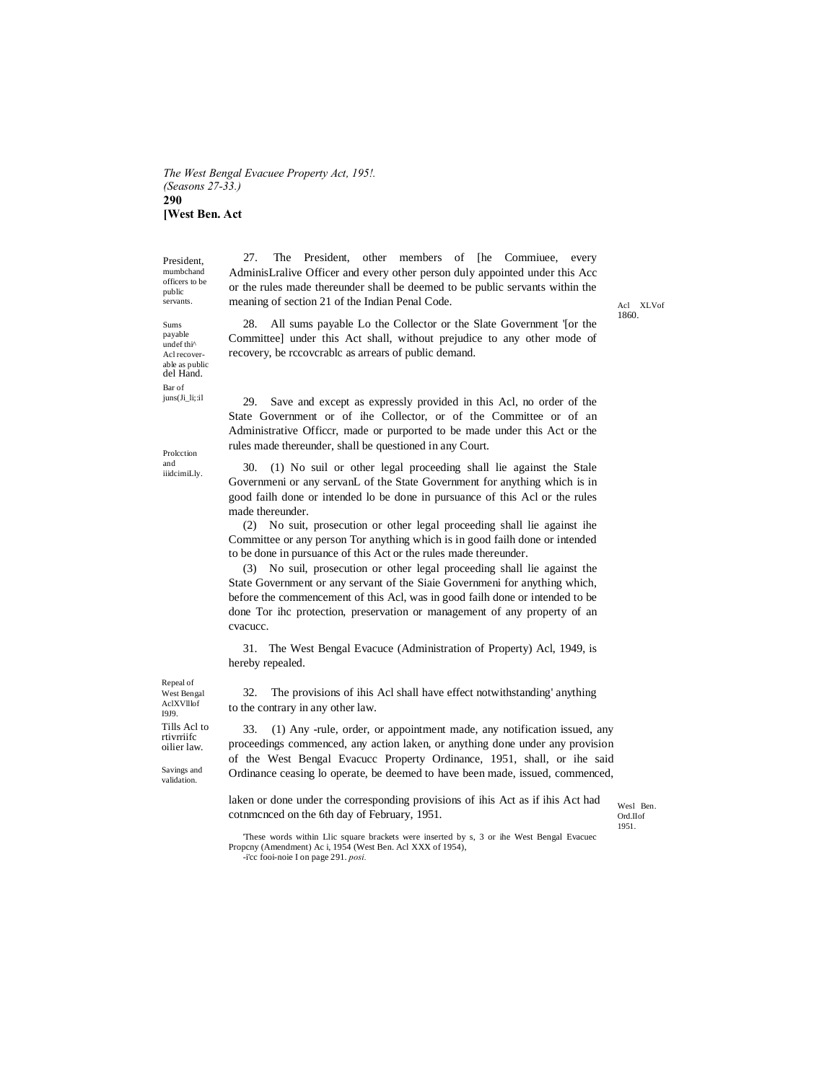*The West Bengal Evacuee Property Act, 195!. (Seasons 27-33.)* **290 [West Ben. Act**

President, mumbchand officers to be public

Sums payable undef thi^ Acl recoverable as public del Hand. Bar of juns(Ji\_li;:il

servants. The meaning of section 21 of the Indian Penal Code. And XLV and XLV of 27. The President, other members of [he Commiuee, every AdminisLralive Officer and every other person duly appointed under this Acc or the rules made thereunder shall be deemed to be public servants within the

1860.

28. All sums payable Lo the Collector or the Slate Government '[or the Committee] under this Act shall, without prejudice to any other mode of recovery, be rccovcrablc as arrears of public demand.

29. Save and except as expressly provided in this Acl, no order of the State Government or of ihe Collector, or of the Committee or of an Administrative Officcr, made or purported to be made under this Act or the rules made thereunder, shall be questioned in any Court.

30. (1) No suil or other legal proceeding shall lie against the Stale Governmeni or any servanL of the State Government for anything which is in good failh done or intended lo be done in pursuance of this Acl or the rules made thereunder.

(2) No suit, prosecution or other legal proceeding shall lie against ihe Committee or any person Tor anything which is in good failh done or intended to be done in pursuance of this Act or the rules made thereunder.

(3) No suil, prosecution or other legal proceeding shall lie against the State Government or any servant of the Siaie Governmeni for anything which, before the commencement of this Acl, was in good failh done or intended to be done Tor ihc protection, preservation or management of any property of an cvacucc.

31. The West Bengal Evacuce (Administration of Property) Acl, 1949, is hereby repealed.

32. The provisions of ihis Acl shall have effect notwithstanding' anything to the contrary in any other law.

33. (1) Any -rule, order, or appointment made, any notification issued, any proceedings commenced, any action laken, or anything done under any provision of the West Bengal Evacucc Property Ordinance, 1951, shall, or ihe said Ordinance ceasing lo operate, be deemed to have been made, issued, commenced,

laken or done under the corresponding provisions of ihis Act as if ihis Act had cotnmcnced on the 6th day of February, 1951.

Wesl Ben. Ord.IIof 1951.

'These words within Llic square brackets were inserted by s, 3 or ihe West Bengal Evacuec Propcny (Amendment) Ac i, 1954 (West Ben. Acl XXX of 1954), -i'cc fooi-noie I on page 291. *posi.*

Repeal of West Bengal AclXVlllof I9J9. Tills Acl to rtivrriifc oilier law.

Savings and validation.

Prolcction and iiidcimiLly